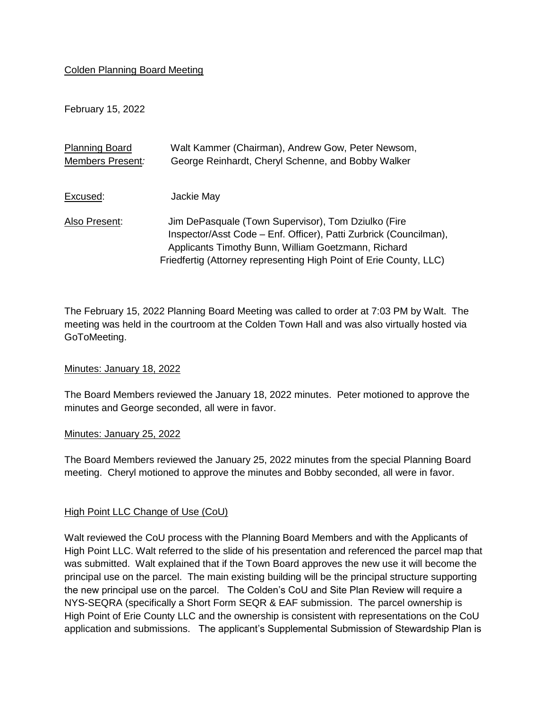## Colden Planning Board Meeting

February 15, 2022

| <b>Planning Board</b> | Walt Kammer (Chairman), Andrew Gow, Peter Newsom,                                                                                                                                                                                                     |
|-----------------------|-------------------------------------------------------------------------------------------------------------------------------------------------------------------------------------------------------------------------------------------------------|
| Members Present:      | George Reinhardt, Cheryl Schenne, and Bobby Walker                                                                                                                                                                                                    |
|                       |                                                                                                                                                                                                                                                       |
| Excused:              | Jackie May                                                                                                                                                                                                                                            |
| Also Present:         | Jim DePasquale (Town Supervisor), Tom Dziulko (Fire<br>Inspector/Asst Code - Enf. Officer), Patti Zurbrick (Councilman),<br>Applicants Timothy Bunn, William Goetzmann, Richard<br>Friedfertig (Attorney representing High Point of Erie County, LLC) |

The February 15, 2022 Planning Board Meeting was called to order at 7:03 PM by Walt. The meeting was held in the courtroom at the Colden Town Hall and was also virtually hosted via GoToMeeting.

## Minutes: January 18, 2022

The Board Members reviewed the January 18, 2022 minutes. Peter motioned to approve the minutes and George seconded, all were in favor.

## Minutes: January 25, 2022

The Board Members reviewed the January 25, 2022 minutes from the special Planning Board meeting. Cheryl motioned to approve the minutes and Bobby seconded, all were in favor.

## High Point LLC Change of Use (CoU)

Walt reviewed the CoU process with the Planning Board Members and with the Applicants of High Point LLC. Walt referred to the slide of his presentation and referenced the parcel map that was submitted. Walt explained that if the Town Board approves the new use it will become the principal use on the parcel. The main existing building will be the principal structure supporting the new principal use on the parcel. The Colden's CoU and Site Plan Review will require a NYS-SEQRA (specifically a Short Form SEQR & EAF submission. The parcel ownership is High Point of Erie County LLC and the ownership is consistent with representations on the CoU application and submissions. The applicant's Supplemental Submission of Stewardship Plan is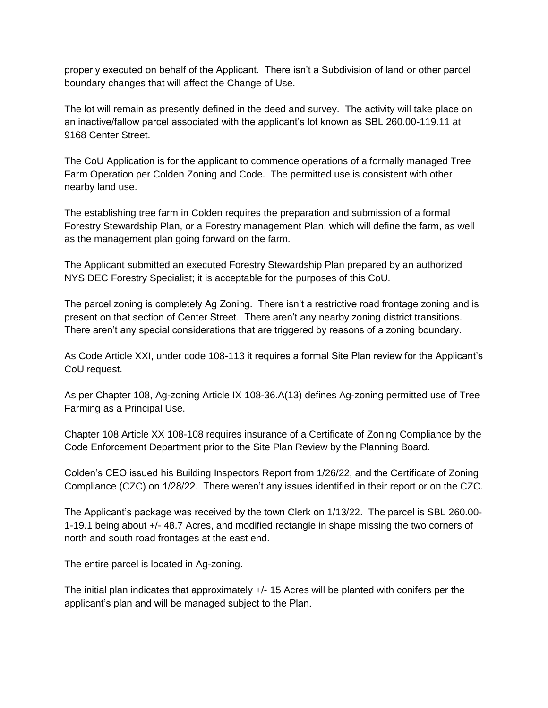properly executed on behalf of the Applicant. There isn't a Subdivision of land or other parcel boundary changes that will affect the Change of Use.

The lot will remain as presently defined in the deed and survey. The activity will take place on an inactive/fallow parcel associated with the applicant's lot known as SBL 260.00-119.11 at 9168 Center Street.

The CoU Application is for the applicant to commence operations of a formally managed Tree Farm Operation per Colden Zoning and Code. The permitted use is consistent with other nearby land use.

The establishing tree farm in Colden requires the preparation and submission of a formal Forestry Stewardship Plan, or a Forestry management Plan, which will define the farm, as well as the management plan going forward on the farm.

The Applicant submitted an executed Forestry Stewardship Plan prepared by an authorized NYS DEC Forestry Specialist; it is acceptable for the purposes of this CoU.

The parcel zoning is completely Ag Zoning. There isn't a restrictive road frontage zoning and is present on that section of Center Street. There aren't any nearby zoning district transitions. There aren't any special considerations that are triggered by reasons of a zoning boundary.

As Code Article XXI, under code 108-113 it requires a formal Site Plan review for the Applicant's CoU request.

As per Chapter 108, Ag-zoning Article IX 108-36.A(13) defines Ag-zoning permitted use of Tree Farming as a Principal Use.

Chapter 108 Article XX 108-108 requires insurance of a Certificate of Zoning Compliance by the Code Enforcement Department prior to the Site Plan Review by the Planning Board.

Colden's CEO issued his Building Inspectors Report from 1/26/22, and the Certificate of Zoning Compliance (CZC) on 1/28/22. There weren't any issues identified in their report or on the CZC.

The Applicant's package was received by the town Clerk on 1/13/22. The parcel is SBL 260.00- 1-19.1 being about +/- 48.7 Acres, and modified rectangle in shape missing the two corners of north and south road frontages at the east end.

The entire parcel is located in Ag-zoning.

The initial plan indicates that approximately +/- 15 Acres will be planted with conifers per the applicant's plan and will be managed subject to the Plan.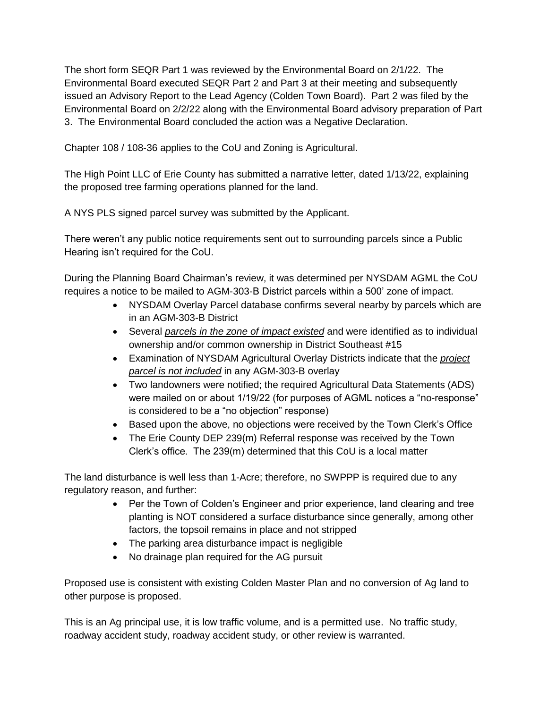The short form SEQR Part 1 was reviewed by the Environmental Board on 2/1/22. The Environmental Board executed SEQR Part 2 and Part 3 at their meeting and subsequently issued an Advisory Report to the Lead Agency (Colden Town Board). Part 2 was filed by the Environmental Board on 2/2/22 along with the Environmental Board advisory preparation of Part 3. The Environmental Board concluded the action was a Negative Declaration.

Chapter 108 / 108-36 applies to the CoU and Zoning is Agricultural.

The High Point LLC of Erie County has submitted a narrative letter, dated 1/13/22, explaining the proposed tree farming operations planned for the land.

A NYS PLS signed parcel survey was submitted by the Applicant.

There weren't any public notice requirements sent out to surrounding parcels since a Public Hearing isn't required for the CoU.

During the Planning Board Chairman's review, it was determined per NYSDAM AGML the CoU requires a notice to be mailed to AGM-303-B District parcels within a 500' zone of impact.

- NYSDAM Overlay Parcel database confirms several nearby by parcels which are in an AGM-303-B District
- Several *parcels in the zone of impact existed* and were identified as to individual ownership and/or common ownership in District Southeast #15
- Examination of NYSDAM Agricultural Overlay Districts indicate that the *project parcel is not included* in any AGM-303-B overlay
- Two landowners were notified; the required Agricultural Data Statements (ADS) were mailed on or about 1/19/22 (for purposes of AGML notices a "no-response" is considered to be a "no objection" response)
- Based upon the above, no objections were received by the Town Clerk's Office
- The Erie County DEP 239(m) Referral response was received by the Town Clerk's office. The 239(m) determined that this CoU is a local matter

The land disturbance is well less than 1-Acre; therefore, no SWPPP is required due to any regulatory reason, and further:

- Per the Town of Colden's Engineer and prior experience, land clearing and tree planting is NOT considered a surface disturbance since generally, among other factors, the topsoil remains in place and not stripped
- The parking area disturbance impact is negligible
- No drainage plan required for the AG pursuit

Proposed use is consistent with existing Colden Master Plan and no conversion of Ag land to other purpose is proposed.

This is an Ag principal use, it is low traffic volume, and is a permitted use. No traffic study, roadway accident study, roadway accident study, or other review is warranted.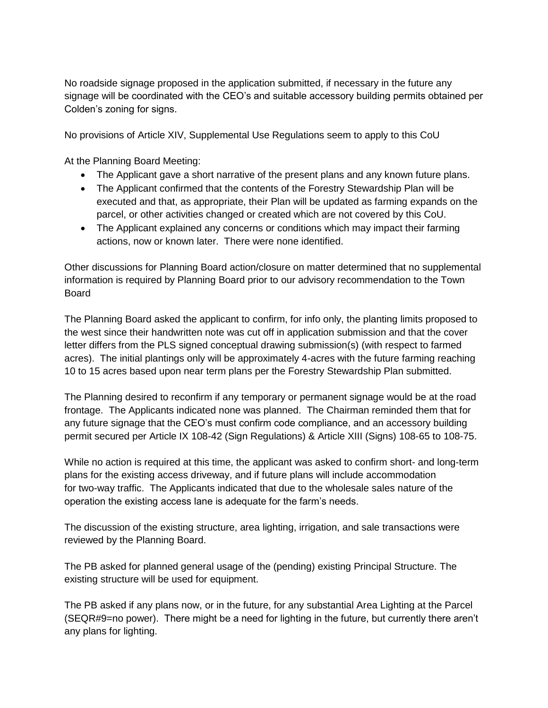No roadside signage proposed in the application submitted, if necessary in the future any signage will be coordinated with the CEO's and suitable accessory building permits obtained per Colden's zoning for signs.

No provisions of Article XIV, Supplemental Use Regulations seem to apply to this CoU

At the Planning Board Meeting:

- The Applicant gave a short narrative of the present plans and any known future plans.
- The Applicant confirmed that the contents of the Forestry Stewardship Plan will be executed and that, as appropriate, their Plan will be updated as farming expands on the parcel, or other activities changed or created which are not covered by this CoU.
- The Applicant explained any concerns or conditions which may impact their farming actions, now or known later. There were none identified.

Other discussions for Planning Board action/closure on matter determined that no supplemental information is required by Planning Board prior to our advisory recommendation to the Town Board

The Planning Board asked the applicant to confirm, for info only, the planting limits proposed to the west since their handwritten note was cut off in application submission and that the cover letter differs from the PLS signed conceptual drawing submission(s) (with respect to farmed acres). The initial plantings only will be approximately 4-acres with the future farming reaching 10 to 15 acres based upon near term plans per the Forestry Stewardship Plan submitted.

The Planning desired to reconfirm if any temporary or permanent signage would be at the road frontage. The Applicants indicated none was planned. The Chairman reminded them that for any future signage that the CEO's must confirm code compliance, and an accessory building permit secured per Article IX 108-42 (Sign Regulations) & Article XIII (Signs) 108-65 to 108-75.

While no action is required at this time, the applicant was asked to confirm short- and long-term plans for the existing access driveway, and if future plans will include accommodation for two-way traffic. The Applicants indicated that due to the wholesale sales nature of the operation the existing access lane is adequate for the farm's needs.

The discussion of the existing structure, area lighting, irrigation, and sale transactions were reviewed by the Planning Board.

The PB asked for planned general usage of the (pending) existing Principal Structure. The existing structure will be used for equipment.

The PB asked if any plans now, or in the future, for any substantial Area Lighting at the Parcel (SEQR#9=no power). There might be a need for lighting in the future, but currently there aren't any plans for lighting.